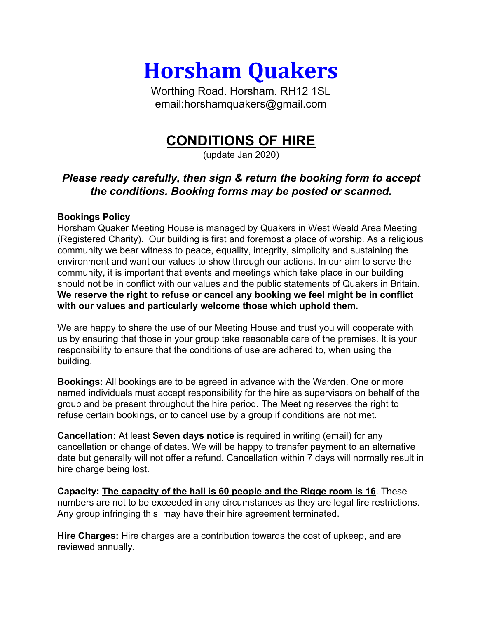**Horsham Quakers**

Worthing Road. Horsham. RH12 1SL email:horshamquakers@gmail.com

## **CONDITIONS OF HIRE**

(update Jan 2020)

## *Please ready carefully, then sign & return the booking form to accept the conditions. Booking forms may be posted or scanned.*

## **Bookings Policy**

Horsham Quaker Meeting House is managed by Quakers in West Weald Area Meeting (Registered Charity). Our building is first and foremost a place of worship. As a religious community we bear witness to peace, equality, integrity, simplicity and sustaining the environment and want our values to show through our actions. In our aim to serve the community, it is important that events and meetings which take place in our building should not be in conflict with our values and the public statements of Quakers in Britain. **We reserve the right to refuse or cancel any booking we feel might be in conflict with our values and particularly welcome those which uphold them.**

We are happy to share the use of our Meeting House and trust you will cooperate with us by ensuring that those in your group take reasonable care of the premises. It is your responsibility to ensure that the conditions of use are adhered to, when using the building.

**Bookings:** All bookings are to be agreed in advance with the Warden. One or more named individuals must accept responsibility for the hire as supervisors on behalf of the group and be present throughout the hire period. The Meeting reserves the right to refuse certain bookings, or to cancel use by a group if conditions are not met.

**Cancellation:** At least **Seven days notice** is required in writing (email) for any cancellation or change of dates. We will be happy to transfer payment to an alternative date but generally will not offer a refund. Cancellation within 7 days will normally result in hire charge being lost.

**Capacity: The capacity of the hall is 60 people and the Rigge room is 16**. These numbers are not to be exceeded in any circumstances as they are legal fire restrictions. Any group infringing this may have their hire agreement terminated.

**Hire Charges:** Hire charges are a contribution towards the cost of upkeep, and are reviewed annually.